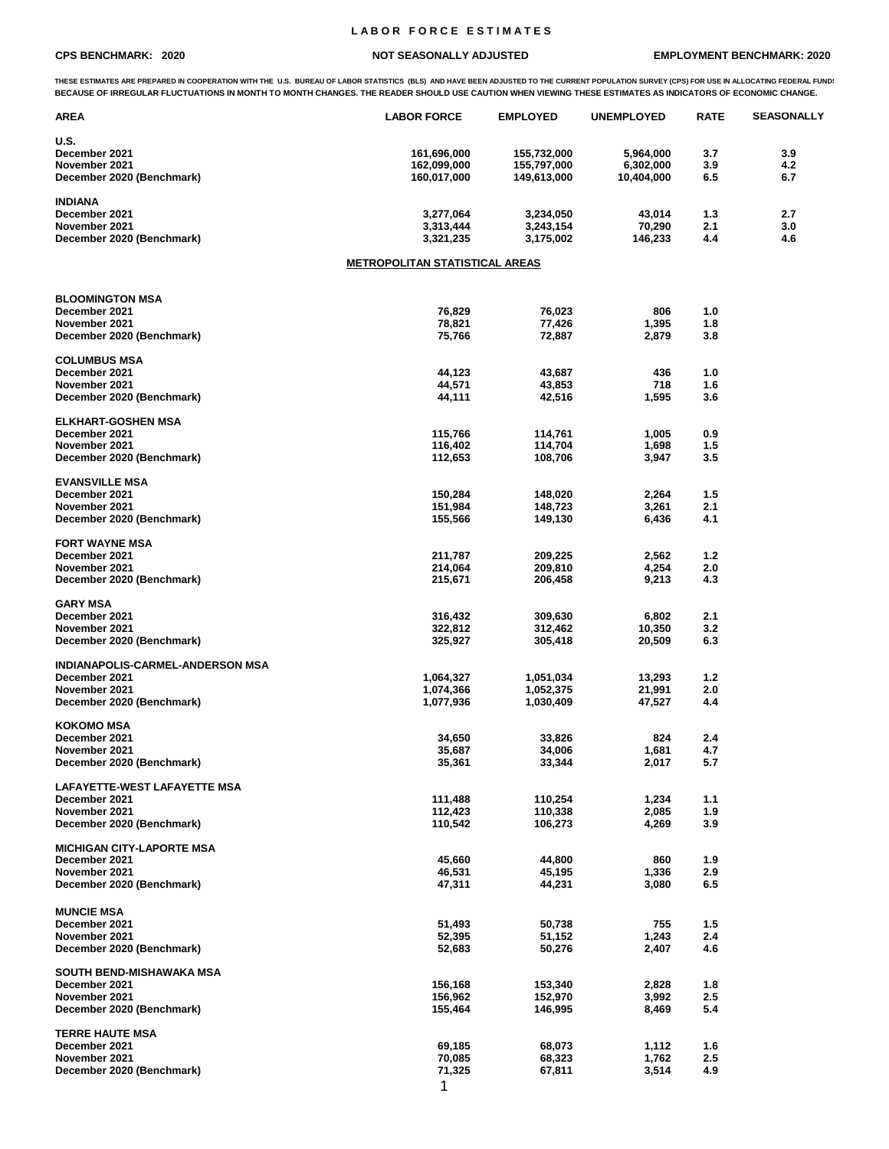## **L A B O R F O R C E E S T I M A T E S**

## **CPS BENCHMARK: 2020 NOT SEASONALLY ADJUSTED EMPLOYMENT BENCHMARK: 2020**

THESE ESTIMATES ARE PREPARED IN COOPERATION WITH THE U.S. BUREAU OF LABOR STATISTICS (BLS) AND HAVE BEEN ADJUSTED TO THE CURRENT POPULATION SURVEY (CPS) FOR USE IN ALLOCATING FEDERAL FUND!<br>BECAUSE OF IRREGULAR FLUCTUATIONS

| <b>AREA</b>                                | <b>LABOR FORCE</b>                    | <b>EMPLOYED</b>    | <b>UNEMPLOYED</b> | <b>RATE</b> | <b>SEASONALLY</b> |
|--------------------------------------------|---------------------------------------|--------------------|-------------------|-------------|-------------------|
| U.S.                                       |                                       |                    |                   |             |                   |
| December 2021                              | 161,696,000                           | 155,732,000        | 5,964,000         | 3.7         | 3.9               |
| November 2021                              | 162,099,000                           | 155,797,000        | 6,302,000         | 3.9         | 4.2               |
| December 2020 (Benchmark)                  | 160,017,000                           | 149,613,000        | 10,404,000        | 6.5         | 6.7               |
| <b>INDIANA</b>                             |                                       |                    |                   |             |                   |
| December 2021                              | 3,277,064                             | 3,234,050          | 43,014            | 1.3         | 2.7               |
| November 2021                              | 3,313,444                             | 3,243,154          | 70,290            | 2.1         | 3.0               |
| December 2020 (Benchmark)                  | 3,321,235                             | 3,175,002          | 146,233           | 4.4         | 4.6               |
|                                            | <u>METROPOLITAN STATISTICAL AREAS</u> |                    |                   |             |                   |
| <b>BLOOMINGTON MSA</b>                     |                                       |                    |                   |             |                   |
| December 2021                              | 76,829                                | 76,023             | 806               | 1.0         |                   |
| November 2021                              | 78,821                                | 77,426             | 1,395             | 1.8         |                   |
| December 2020 (Benchmark)                  | 75,766                                | 72,887             | 2,879             | 3.8         |                   |
|                                            |                                       |                    |                   |             |                   |
| <b>COLUMBUS MSA</b>                        |                                       |                    |                   |             |                   |
| December 2021                              | 44,123                                | 43,687             | 436<br>718        | 1.0         |                   |
| November 2021<br>December 2020 (Benchmark) | 44,571<br>44,111                      | 43,853<br>42,516   | 1,595             | 1.6<br>3.6  |                   |
|                                            |                                       |                    |                   |             |                   |
| <b>ELKHART-GOSHEN MSA</b>                  |                                       |                    |                   |             |                   |
| December 2021                              | 115,766                               | 114,761            | 1,005             | 0.9         |                   |
| November 2021                              | 116,402                               | 114,704            | 1,698             | 1.5         |                   |
| December 2020 (Benchmark)                  | 112,653                               | 108,706            | 3,947             | 3.5         |                   |
| <b>EVANSVILLE MSA</b>                      |                                       |                    |                   |             |                   |
| December 2021                              | 150,284                               | 148,020            | 2,264             | 1.5         |                   |
| November 2021                              | 151,984                               | 148,723            | 3,261             | 2.1         |                   |
| December 2020 (Benchmark)                  | 155,566                               | 149,130            | 6,436             | 4.1         |                   |
| <b>FORT WAYNE MSA</b>                      |                                       |                    |                   |             |                   |
| December 2021                              | 211,787                               | 209,225            | 2,562             | 1.2         |                   |
| November 2021                              | 214,064                               | 209,810            | 4,254             | 2.0         |                   |
| December 2020 (Benchmark)                  | 215,671                               | 206,458            | 9,213             | 4.3         |                   |
| <b>GARY MSA</b>                            |                                       |                    |                   |             |                   |
| December 2021                              | 316,432                               | 309,630            | 6,802             | 2.1         |                   |
| November 2021<br>December 2020 (Benchmark) | 322,812<br>325,927                    | 312,462<br>305,418 | 10,350<br>20,509  | 3.2<br>6.3  |                   |
|                                            |                                       |                    |                   |             |                   |
| INDIANAPOLIS-CARMEL-ANDERSON MSA           |                                       |                    |                   |             |                   |
| December 2021                              | 1,064,327                             | 1,051,034          | 13,293            | 1.2         |                   |
| November 2021                              | 1,074,366                             | 1,052,375          | 21,991            | 2.0         |                   |
| December 2020 (Benchmark)                  | 1,077,936                             | 1,030,409          | 47,527            | 4.4         |                   |
| <b>KOKOMO MSA</b>                          |                                       |                    |                   |             |                   |
| December 2021                              | 34,650                                | 33,826             | 824               | 2.4         |                   |
| November 2021                              | 35,687                                | 34,006             | 1,681             | 4.7         |                   |
| December 2020 (Benchmark)                  | 35,361                                | 33,344             | 2,017             | 5.7         |                   |
| LAFAYETTE-WEST LAFAYETTE MSA               |                                       |                    |                   |             |                   |
| December 2021                              | 111,488                               | 110,254            | 1,234             | 1.1         |                   |
| November 2021                              | 112,423                               | 110,338            | 2,085             | 1.9         |                   |
| December 2020 (Benchmark)                  | 110,542                               | 106,273            | 4,269             | 3.9         |                   |
| <b>MICHIGAN CITY-LAPORTE MSA</b>           |                                       |                    |                   |             |                   |
| December 2021                              | 45,660                                | 44,800             | 860               | 1.9         |                   |
| November 2021                              | 46,531                                | 45,195             | 1,336             | 2.9         |                   |
| December 2020 (Benchmark)                  | 47,311                                | 44,231             | 3,080             | 6.5         |                   |
| <b>MUNCIE MSA</b>                          |                                       |                    |                   |             |                   |
| December 2021                              | 51,493                                | 50,738             | 755               | 1.5         |                   |
| November 2021                              | 52,395                                | 51,152             | 1,243             | 2.4         |                   |
| December 2020 (Benchmark)                  | 52,683                                | 50,276             | 2,407             | 4.6         |                   |
| SOUTH BEND-MISHAWAKA MSA                   |                                       |                    |                   |             |                   |
| December 2021                              | 156,168                               | 153,340            | 2,828             | 1.8         |                   |
| November 2021                              | 156,962                               | 152,970            | 3,992             | 2.5         |                   |
| December 2020 (Benchmark)                  | 155,464                               | 146,995            | 8,469             | 5.4         |                   |
| <b>TERRE HAUTE MSA</b>                     |                                       |                    |                   |             |                   |
| December 2021                              | 69,185                                | 68,073             | 1,112             | 1.6         |                   |
| November 2021<br>December 2020 (Benchmark) | 70,085<br>71,325                      | 68,323<br>67,811   | 1,762<br>3,514    | 2.5<br>4.9  |                   |
|                                            |                                       |                    |                   |             |                   |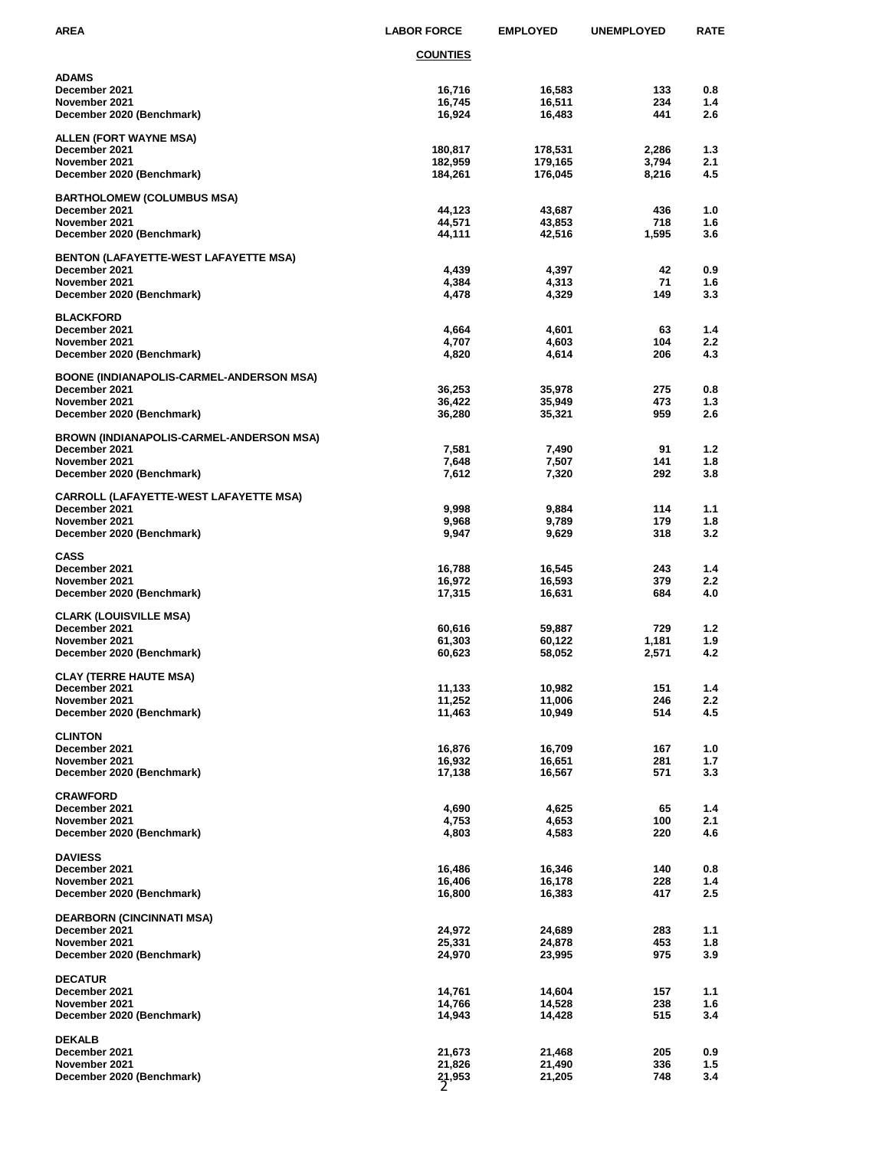| AREA                                           | <b>LABOR FORCE</b> | <b>EMPLOYED</b>  | <b>UNEMPLOYED</b> | <b>RATE</b>             |
|------------------------------------------------|--------------------|------------------|-------------------|-------------------------|
|                                                | <u>COUNTIES</u>    |                  |                   |                         |
| ADAMS                                          |                    |                  |                   |                         |
| December 2021                                  | 16,716             | 16,583           | 133               | 0.8                     |
| November 2021                                  | 16,745             | 16,511           | 234               | 1.4                     |
| December 2020 (Benchmark)                      | 16,924             | 16,483           | 441               | 2.6                     |
| ALLEN (FORT WAYNE MSA)                         |                    |                  |                   |                         |
| December 2021                                  | 180,817            | 178,531          | 2,286             | 1.3                     |
| November 2021                                  | 182,959            | 179,165          | 3,794             | 2.1                     |
| December 2020 (Benchmark)                      | 184,261            | 176,045          | 8,216             | 4.5                     |
| BARTHOLOMEW (COLUMBUS MSA)                     |                    |                  |                   |                         |
| December 2021                                  | 44,123             | 43,687           | 436               | 1.0                     |
| November 2021                                  | 44,571             | 43,853           | 718               | 1.6                     |
| December 2020 (Benchmark)                      | 44,111             | 42,516           | 1,595             | 3.6                     |
| BENTON (LAFAYETTE-WEST LAFAYETTE MSA)          |                    |                  |                   |                         |
| December 2021                                  | 4,439              | 4,397            | 42                | 0.9                     |
| November 2021                                  | 4,384              | 4,313            | 71                | 1.6                     |
| December 2020 (Benchmark)                      | 4,478              | 4,329            | 149               | 3.3                     |
| <b>BLACKFORD</b>                               |                    |                  |                   |                         |
| December 2021                                  | 4,664              | 4,601            | 63                | 1.4                     |
| November 2021                                  | 4,707              | 4,603            | 104               | 2.2                     |
| December 2020 (Benchmark)                      | 4,820              | 4,614            | 206               | 4.3                     |
| BOONE (INDIANAPOLIS-CARMEL-ANDERSON MSA)       |                    |                  |                   |                         |
| December 2021                                  | 36,253             | 35,978           | 275               | 0.8                     |
| November 2021                                  | 36,422             | 35,949           | 473<br>959        | 1.3<br>2.6              |
| December 2020 (Benchmark)                      | 36,280             | 35,321           |                   |                         |
| BROWN (INDIANAPOLIS-CARMEL-ANDERSON MSA)       |                    |                  |                   |                         |
| December 2021                                  | 7,581              | 7,490            | 91                | 1.2                     |
| November 2021                                  | 7,648              | 7,507            | 141<br>292        | 1.8<br>3.8              |
| December 2020 (Benchmark)                      | 7,612              | 7,320            |                   |                         |
| CARROLL (LAFAYETTE-WEST LAFAYETTE MSA)         |                    |                  |                   |                         |
| December 2021<br>November 2021                 | 9,998              | 9,884            | 114<br>179        | 1.1<br>1.8              |
| December 2020 (Benchmark)                      | 9,968<br>9,947     | 9,789<br>9,629   | 318               | 3.2                     |
|                                                |                    |                  |                   |                         |
| <b>CASS</b>                                    |                    |                  |                   |                         |
| December 2021<br>November 2021                 | 16,788<br>16,972   | 16,545<br>16,593 | 243<br>379        | 1.4<br>$2.2\phantom{0}$ |
| December 2020 (Benchmark)                      | 17,315             | 16,631           | 684               | 4.0                     |
|                                                |                    |                  |                   |                         |
| <b>CLARK (LOUISVILLE MSA)</b><br>December 2021 |                    |                  |                   | 1.2                     |
| November 2021                                  | 60,616<br>61,303   | 59,887<br>60,122 | 729<br>1,181      | 1.9                     |
| December 2020 (Benchmark)                      | 60,623             | 58,052           | 2,571             | 4.2                     |
|                                                |                    |                  |                   |                         |
| <b>CLAY (TERRE HAUTE MSA)</b><br>December 2021 | 11,133             | 10,982           | 151               | 1.4                     |
| November 2021                                  | 11,252             | 11,006           | 246               | 2.2                     |
| December 2020 (Benchmark)                      | 11,463             | 10,949           | 514               | 4.5                     |
|                                                |                    |                  |                   |                         |
| <b>CLINTON</b><br>December 2021                | 16,876             | 16,709           | 167               | 1.0                     |
| November 2021                                  | 16,932             | 16,651           | 281               | 1.7                     |
| December 2020 (Benchmark)                      | 17,138             | 16,567           | 571               | 3.3                     |
| CRAWFORD                                       |                    |                  |                   |                         |
| December 2021                                  | 4,690              | 4,625            | 65                | 1.4                     |
| November 2021                                  | 4,753              | 4,653            | 100               | 2.1                     |
| December 2020 (Benchmark)                      | 4,803              | 4,583            | 220               | 4.6                     |
| <b>DAVIESS</b>                                 |                    |                  |                   |                         |
| December 2021                                  | 16,486             | 16,346           | 140               | 0.8                     |
| November 2021                                  | 16,406             | 16,178           | 228               | 1.4                     |
| December 2020 (Benchmark)                      | 16,800             | 16,383           | 417               | 2.5                     |
| DEARBORN (CINCINNATI MSA)                      |                    |                  |                   |                         |
| December 2021                                  | 24,972             | 24,689           | 283               | 1.1                     |
| November 2021                                  | 25,331             | 24,878           | 453               | 1.8                     |
| December 2020 (Benchmark)                      | 24,970             | 23,995           | 975               | 3.9                     |
| <b>DECATUR</b>                                 |                    |                  |                   |                         |
| December 2021                                  | 14,761             | 14,604           | 157               | 1.1                     |
| November 2021                                  | 14,766             | 14,528           | 238               | 1.6                     |
| December 2020 (Benchmark)                      | 14,943             | 14,428           | 515               | 3.4                     |
| <b>DEKALB</b>                                  |                    |                  |                   |                         |
| December 2021                                  | 21,673             | 21,468           | 205               | 0.9                     |
| November 2021                                  | 21,826             | 21,490           | 336               | 1.5                     |
| December 2020 (Benchmark)                      | 21,953             | 21,205           | 748               | 3.4                     |
|                                                |                    |                  |                   |                         |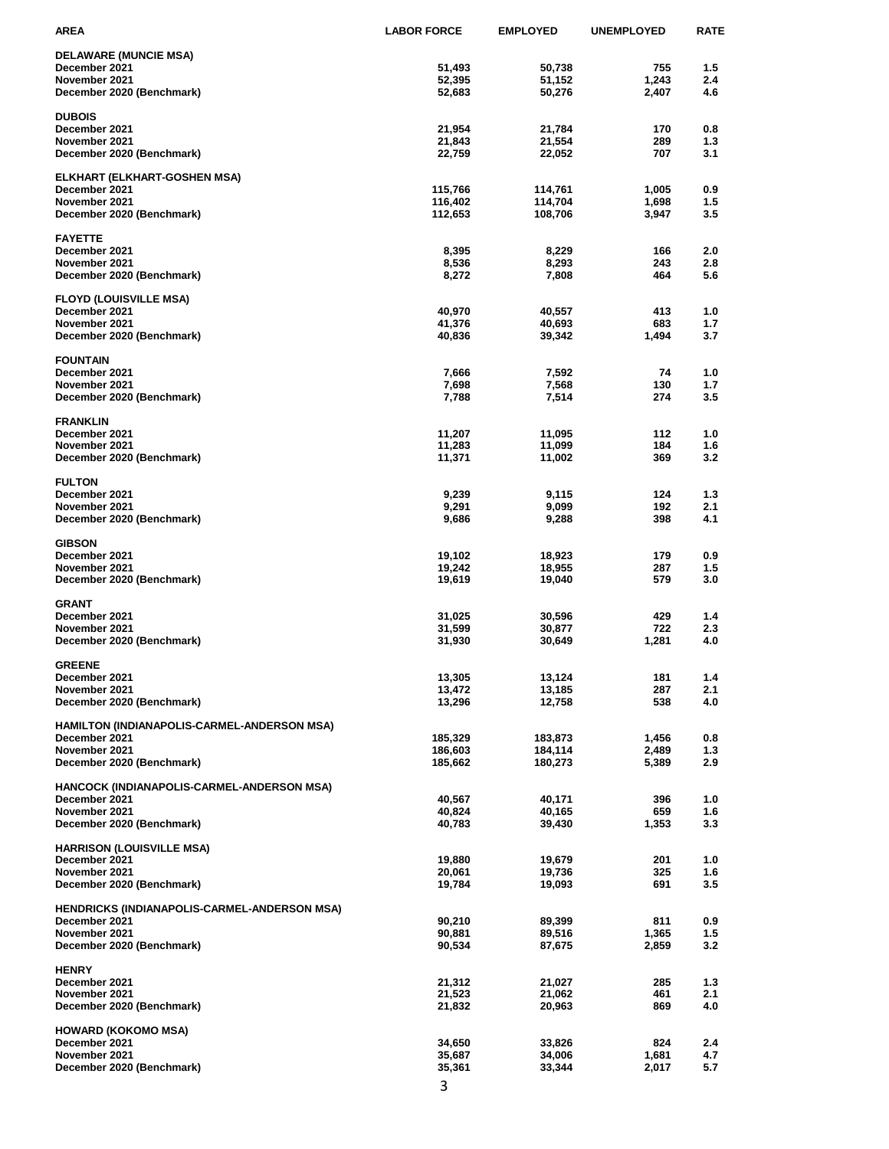| AREA                                                         | <b>LABOR FORCE</b> | <b>EMPLOYED</b>    | <b>UNEMPLOYED</b> | <b>RATE</b> |
|--------------------------------------------------------------|--------------------|--------------------|-------------------|-------------|
| <b>DELAWARE (MUNCIE MSA)</b>                                 |                    |                    |                   |             |
| December 2021                                                | 51,493             | 50,738             | 755               | 1.5         |
| November 2021                                                | 52,395             | 51,152             | 1,243             | 2.4         |
| December 2020 (Benchmark)                                    | 52,683             | 50,276             | 2,407             | 4.6         |
| <b>DUBOIS</b>                                                |                    |                    |                   |             |
| December 2021                                                | 21,954             | 21,784             | 170               | 0.8         |
| November 2021<br>December 2020 (Benchmark)                   | 21,843<br>22,759   | 21,554<br>22,052   | 289<br>707        | 1.3<br>3.1  |
|                                                              |                    |                    |                   |             |
| <b>ELKHART (ELKHART-GOSHEN MSA)</b>                          |                    |                    |                   |             |
| December 2021                                                | 115,766            | 114,761            | 1,005             | 0.9         |
| November 2021                                                | 116,402<br>112,653 | 114,704<br>108,706 | 1,698             | 1.5<br>3.5  |
| December 2020 (Benchmark)                                    |                    |                    | 3,947             |             |
| <b>FAYETTE</b>                                               |                    |                    |                   |             |
| December 2021                                                | 8,395              | 8,229              | 166               | 2.0         |
| November 2021                                                | 8,536              | 8,293<br>7,808     | 243<br>464        | 2.8<br>5.6  |
| December 2020 (Benchmark)                                    | 8,272              |                    |                   |             |
| <b>FLOYD (LOUISVILLE MSA)</b>                                |                    |                    |                   |             |
| December 2021                                                | 40,970             | 40,557             | 413               | 1.0         |
| November 2021                                                | 41,376             | 40,693             | 683               | 1.7         |
| December 2020 (Benchmark)                                    | 40,836             | 39,342             | 1,494             | 3.7         |
| <b>FOUNTAIN</b>                                              |                    |                    |                   |             |
| December 2021                                                | 7,666              | 7,592              | 74                | 1.0         |
| November 2021                                                | 7,698              | 7,568              | 130               | 1.7         |
| December 2020 (Benchmark)                                    | 7,788              | 7,514              | 274               | 3.5         |
| <b>FRANKLIN</b>                                              |                    |                    |                   |             |
| December 2021                                                | 11,207             | 11,095             | 112               | 1.0         |
| November 2021                                                | 11,283             | 11,099             | 184               | 1.6         |
| December 2020 (Benchmark)                                    | 11,371             | 11,002             | 369               | 3.2         |
| <b>FULTON</b>                                                |                    |                    |                   |             |
| December 2021                                                | 9,239              | 9,115              | 124               | 1.3         |
| November 2021<br>December 2020 (Benchmark)                   | 9,291<br>9,686     | 9,099<br>9,288     | 192<br>398        | 2.1<br>4.1  |
|                                                              |                    |                    |                   |             |
| <b>GIBSON</b>                                                |                    |                    |                   |             |
| December 2021<br>November 2021                               | 19,102             | 18,923<br>18,955   | 179<br>287        | 0.9<br>1.5  |
| December 2020 (Benchmark)                                    | 19,242<br>19,619   | 19,040             | 579               | 3.0         |
|                                                              |                    |                    |                   |             |
| <b>GRANT</b>                                                 |                    |                    |                   |             |
| December 2021<br>November 2021                               | 31,025<br>31,599   | 30,596<br>30,877   | 429<br>722        | 1.4<br>2.3  |
| December 2020 (Benchmark)                                    | 31,930             | 30,649             | 1,281             | 4.0         |
|                                                              |                    |                    |                   |             |
| <b>GREENE</b><br>December 2021                               | 13,305             | 13,124             | 181               | 1.4         |
| November 2021                                                | 13,472             | 13,185             | 287               | 2.1         |
| December 2020 (Benchmark)                                    | 13,296             | 12,758             | 538               | 4.0         |
|                                                              |                    |                    |                   |             |
| HAMILTON (INDIANAPOLIS-CARMEL-ANDERSON MSA)<br>December 2021 | 185,329            | 183,873            | 1,456             | 0.8         |
| November 2021                                                | 186,603            | 184,114            | 2,489             | 1.3         |
| December 2020 (Benchmark)                                    | 185,662            | 180,273            | 5,389             | 2.9         |
| HANCOCK (INDIANAPOLIS-CARMEL-ANDERSON MSA)                   |                    |                    |                   |             |
| December 2021                                                | 40,567             | 40,171             | 396               | 1.0         |
| November 2021                                                | 40,824             | 40,165             | 659               | 1.6         |
| December 2020 (Benchmark)                                    | 40,783             | 39,430             | 1,353             | 3.3         |
| <b>HARRISON (LOUISVILLE MSA)</b>                             |                    |                    |                   |             |
| December 2021                                                | 19,880             | 19,679             | 201               | 1.0         |
| November 2021                                                | 20,061             | 19,736             | 325               | 1.6         |
| December 2020 (Benchmark)                                    | 19,784             | 19,093             | 691               | 3.5         |
| HENDRICKS (INDIANAPOLIS-CARMEL-ANDERSON MSA)                 |                    |                    |                   |             |
| December 2021                                                | 90,210             | 89,399             | 811               | 0.9         |
| November 2021                                                | 90,881             | 89,516             | 1,365             | 1.5         |
| December 2020 (Benchmark)                                    | 90,534             | 87,675             | 2,859             | 3.2         |
| <b>HENRY</b>                                                 |                    |                    |                   |             |
| December 2021                                                | 21,312             | 21,027             | 285               | 1.3         |
| November 2021                                                | 21,523             | 21,062             | 461               | 2.1         |
| December 2020 (Benchmark)                                    | 21,832             | 20,963             | 869               | 4.0         |
| HOWARD (KOKOMO MSA)                                          |                    |                    |                   |             |
| December 2021                                                | 34,650             | 33,826             | 824               | 2.4         |
| November 2021                                                | 35,687             | 34,006             | 1,681             | 4.7         |
| December 2020 (Benchmark)                                    | 35,361             | 33,344             | 2,017             | 5.7         |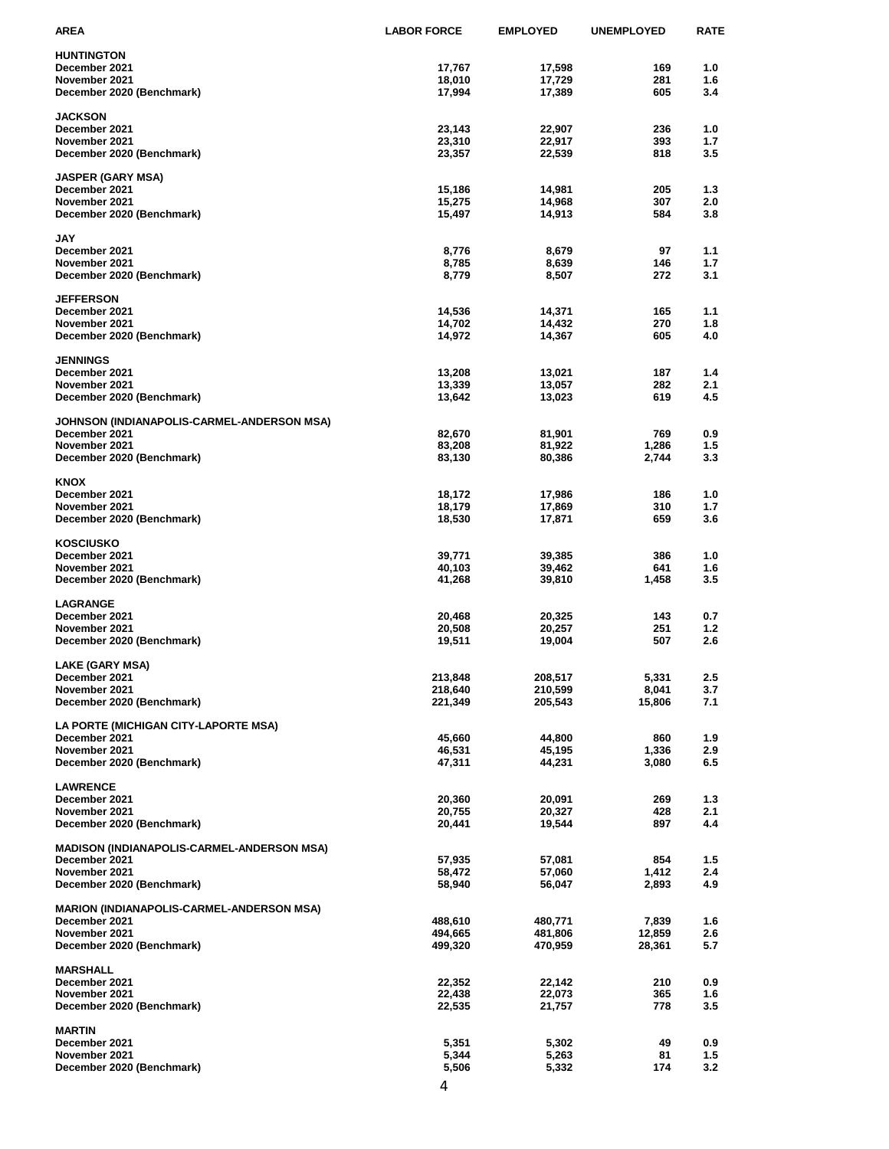| AREA                                              | <b>LABOR FORCE</b> | <b>EMPLOYED</b> | <b>UNEMPLOYED</b> | <b>RATE</b> |
|---------------------------------------------------|--------------------|-----------------|-------------------|-------------|
| <b>HUNTINGTON</b>                                 |                    |                 |                   |             |
| December 2021                                     | 17,767             | 17,598          | 169               | 1.0         |
| November 2021                                     | 18,010             | 17,729          | 281               | 1.6         |
| December 2020 (Benchmark)                         | 17,994             | 17,389          | 605               | 3.4         |
|                                                   |                    |                 |                   |             |
| <b>JACKSON</b>                                    |                    |                 |                   |             |
| December 2021                                     | 23,143             | 22,907          | 236               | 1.0         |
| November 2021                                     | 23,310             | 22,917          | 393               | 1.7         |
| December 2020 (Benchmark)                         | 23,357             | 22,539          | 818               | 3.5         |
|                                                   |                    |                 |                   |             |
| JASPER (GARY MSA)<br>December 2021                | 15,186             | 14,981          | 205               | 1.3         |
| November 2021                                     | 15,275             | 14,968          | 307               | 2.0         |
| December 2020 (Benchmark)                         | 15,497             | 14,913          | 584               | 3.8         |
|                                                   |                    |                 |                   |             |
| JAY                                               |                    |                 |                   |             |
| December 2021                                     | 8,776              | 8,679           | 97                | 1.1         |
| November 2021                                     | 8,785              | 8,639           | 146               | 1.7         |
| December 2020 (Benchmark)                         | 8,779              | 8,507           | 272               | 3.1         |
|                                                   |                    |                 |                   |             |
| <b>JEFFERSON</b>                                  |                    |                 |                   |             |
| December 2021                                     | 14,536             | 14,371          | 165               | 1.1         |
| November 2021                                     | 14,702             | 14,432          | 270               | 1.8         |
| December 2020 (Benchmark)                         | 14,972             | 14,367          | 605               | 4.0         |
|                                                   |                    |                 |                   |             |
| <b>JENNINGS</b>                                   |                    |                 |                   |             |
| December 2021                                     | 13,208             | 13,021          | 187               | 1.4         |
| November 2021                                     | 13,339             | 13,057          | 282               | 2.1         |
| December 2020 (Benchmark)                         | 13,642             | 13,023          | 619               | 4.5         |
|                                                   |                    |                 |                   |             |
| JOHNSON (INDIANAPOLIS-CARMEL-ANDERSON MSA)        |                    |                 |                   |             |
| December 2021                                     | 82,670             | 81,901          | 769               | 0.9         |
| November 2021                                     | 83,208             | 81,922          | 1,286             | 1.5         |
| December 2020 (Benchmark)                         | 83,130             | 80,386          | 2,744             | 3.3         |
|                                                   |                    |                 |                   |             |
| KNOX                                              |                    |                 |                   |             |
| December 2021                                     | 18,172             | 17,986          | 186               | 1.0         |
| November 2021                                     | 18,179             | 17,869          | 310               | 1.7         |
| December 2020 (Benchmark)                         | 18,530             | 17,871          | 659               | 3.6         |
|                                                   |                    |                 |                   |             |
| KOSCIUSKO                                         |                    |                 |                   |             |
| December 2021                                     | 39,771             | 39,385          | 386<br>641        | 1.0         |
| November 2021                                     | 40,103             | 39,462          |                   | 1.6<br>3.5  |
| December 2020 (Benchmark)                         | 41,268             | 39,810          | 1,458             |             |
| <b>LAGRANGE</b>                                   |                    |                 |                   |             |
| December 2021                                     | 20,468             | 20,325          | 143               | 0.7         |
| November 2021                                     | 20,508             | 20,257          | 251               | 1.2         |
| December 2020 (Benchmark)                         | 19,511             | 19,004          | 507               | 2.6         |
|                                                   |                    |                 |                   |             |
| LAKE (GARY MSA)                                   |                    |                 |                   |             |
| December 2021                                     | 213,848            | 208,517         | 5,331             | 2.5         |
| November 2021                                     | 218,640            | 210,599         | 8,041             | 3.7         |
| December 2020 (Benchmark)                         | 221,349            | 205,543         | 15,806            | 7.1         |
|                                                   |                    |                 |                   |             |
| LA PORTE (MICHIGAN CITY-LAPORTE MSA)              |                    |                 |                   |             |
| December 2021                                     | 45,660             | 44,800          | 860               | 1.9         |
| November 2021                                     | 46,531             | 45,195          | 1,336             | 2.9         |
| December 2020 (Benchmark)                         | 47,311             | 44,231          | 3,080             | 6.5         |
|                                                   |                    |                 |                   |             |
| <b>LAWRENCE</b>                                   |                    |                 |                   |             |
| December 2021                                     | 20,360             | 20,091          | 269               | 1.3         |
| November 2021                                     | 20,755             | 20,327          | 428               | 2.1         |
| December 2020 (Benchmark)                         | 20,441             | 19,544          | 897               | 4.4         |
|                                                   |                    |                 |                   |             |
| <b>MADISON (INDIANAPOLIS-CARMEL-ANDERSON MSA)</b> |                    |                 |                   |             |
| December 2021                                     | 57,935             | 57,081          | 854               | 1.5         |
| November 2021                                     | 58,472             | 57,060          | 1,412             | 2.4         |
| December 2020 (Benchmark)                         | 58,940             | 56,047          | 2,893             | 4.9         |
|                                                   |                    |                 |                   |             |
| MARION (INDIANAPOLIS-CARMEL-ANDERSON MSA)         |                    |                 |                   |             |
| December 2021                                     | 488,610            | 480,771         | 7,839             | 1.6         |
| November 2021                                     | 494,665            | 481,806         | 12,859            | 2.6         |
| December 2020 (Benchmark)                         | 499,320            | 470,959         | 28,361            | 5.7         |
|                                                   |                    |                 |                   |             |
| <b>MARSHALL</b>                                   |                    |                 |                   |             |
| December 2021                                     | 22,352             | 22,142          | 210               | 0.9         |
| November 2021                                     | 22,438             | 22,073          | 365               | 1.6         |
| December 2020 (Benchmark)                         | 22,535             | 21,757          | 778               | 3.5         |
|                                                   |                    |                 |                   |             |
| <b>MARTIN</b>                                     |                    |                 |                   |             |
| December 2021                                     | 5,351              | 5,302           | 49                | 0.9         |
| November 2021                                     | 5,344              | 5,263           | 81                | 1.5         |
| December 2020 (Benchmark)                         | 5,506              | 5,332           | 174               | 3.2         |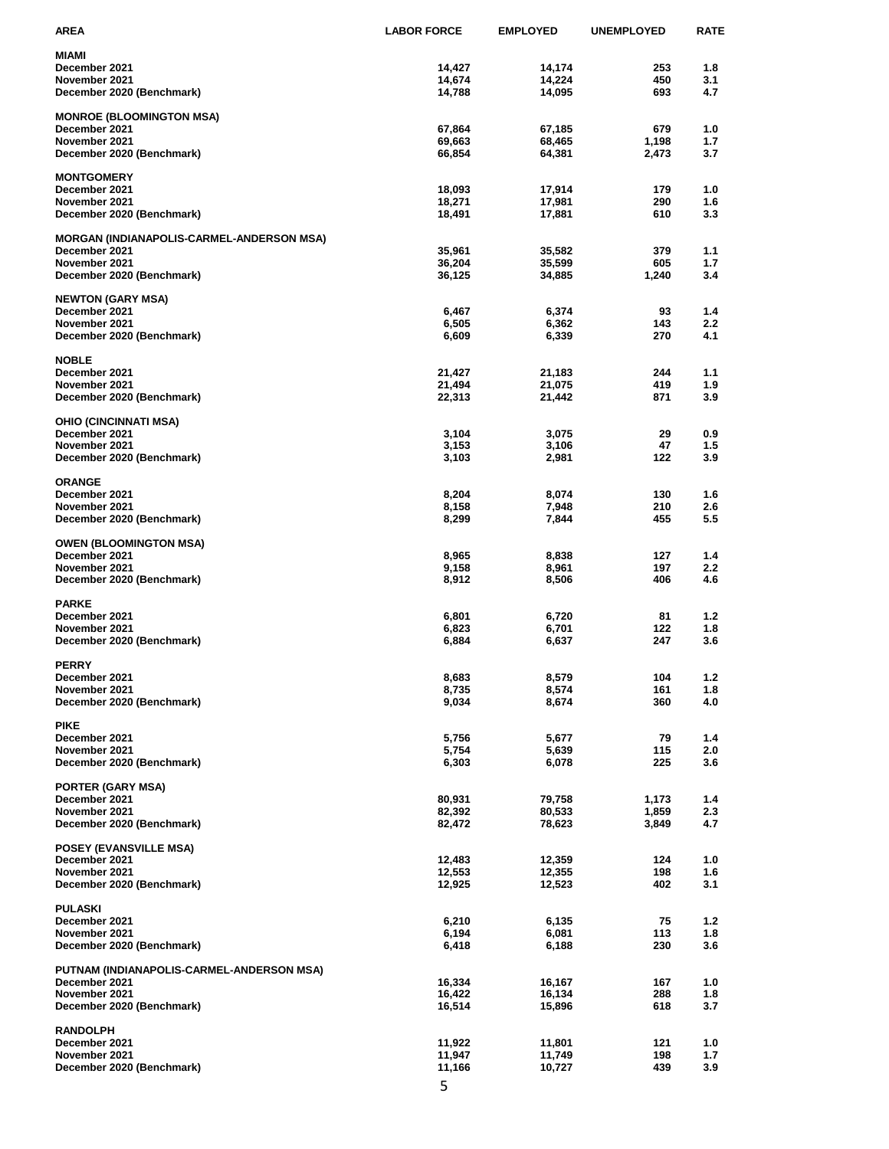| AREA                                             | <b>LABOR FORCE</b> | <b>EMPLOYED</b>  | <b>UNEMPLOYED</b> | RATE       |
|--------------------------------------------------|--------------------|------------------|-------------------|------------|
| MIAMI                                            |                    |                  |                   |            |
| December 2021                                    | 14,427             | 14,174           | 253               | 1.8        |
| November 2021                                    | 14,674             | 14,224           | 450               | 3.1        |
| December 2020 (Benchmark)                        | 14,788             | 14,095           | 693               | 4.7        |
|                                                  |                    |                  |                   |            |
| <b>MONROE (BLOOMINGTON MSA)</b><br>December 2021 | 67,864             |                  | 679               | 1.0        |
| November 2021                                    | 69,663             | 67,185<br>68,465 | 1,198             | 1.7        |
| December 2020 (Benchmark)                        | 66,854             | 64,381           | 2,473             | 3.7        |
|                                                  |                    |                  |                   |            |
| <b>MONTGOMERY</b>                                |                    |                  |                   |            |
| December 2021                                    | 18,093             | 17,914           | 179               | 1.0        |
| November 2021                                    | 18,271             | 17,981           | 290               | 1.6        |
| December 2020 (Benchmark)                        | 18,491             | 17,881           | 610               | 3.3        |
|                                                  |                    |                  |                   |            |
| MORGAN (INDIANAPOLIS-CARMEL-ANDERSON MSA)        |                    |                  |                   |            |
| December 2021<br>November 2021                   | 35,961             | 35,582           | 379<br>605        | 1.1<br>1.7 |
| December 2020 (Benchmark)                        | 36,204<br>36,125   | 35,599<br>34,885 | 1,240             | 3.4        |
|                                                  |                    |                  |                   |            |
| NEWTON (GARY MSA)                                |                    |                  |                   |            |
| December 2021                                    | 6,467              | 6,374            | 93                | 1.4        |
| November 2021                                    | 6,505              | 6,362            | 143               | 2.2        |
| December 2020 (Benchmark)                        | 6,609              | 6,339            | 270               | 4.1        |
|                                                  |                    |                  |                   |            |
| <b>NOBLE</b>                                     |                    |                  |                   |            |
| December 2021                                    | 21,427             | 21,183           | 244               | 1.1        |
| November 2021                                    | 21,494             | 21,075           | 419               | 1.9        |
| December 2020 (Benchmark)                        | 22,313             | 21,442           | 871               | 3.9        |
| OHIO (CINCINNATI MSA)                            |                    |                  |                   |            |
| December 2021                                    | 3,104              | 3,075            | 29                | 0.9        |
| November 2021                                    | 3,153              | 3,106            | 47                | 1.5        |
| December 2020 (Benchmark)                        | 3,103              | 2,981            | 122               | 3.9        |
|                                                  |                    |                  |                   |            |
| <b>ORANGE</b>                                    |                    |                  |                   |            |
| December 2021                                    | 8,204              | 8,074            | 130               | 1.6        |
| November 2021                                    | 8,158              | 7,948            | 210               | 2.6        |
| December 2020 (Benchmark)                        | 8,299              | 7,844            | 455               | 5.5        |
|                                                  |                    |                  |                   |            |
| OWEN (BLOOMINGTON MSA)                           |                    |                  |                   |            |
| December 2021<br>November 2021                   | 8,965<br>9,158     | 8,838<br>8,961   | 127<br>197        | 1.4<br>2.2 |
| December 2020 (Benchmark)                        | 8,912              | 8,506            | 406               | 4.6        |
|                                                  |                    |                  |                   |            |
| <b>PARKE</b>                                     |                    |                  |                   |            |
| December 2021                                    | 6,801              | 6,720            | 81                | 1.2        |
| November 2021                                    | 6,823              | 6,701            | 122               | 1.8        |
| December 2020 (Benchmark)                        | 6,884              | 6,637            | 247               | 3.6        |
|                                                  |                    |                  |                   |            |
| PERRY                                            |                    |                  |                   |            |
| December 2021                                    | 8,683              | 8,579            | 104               | 1.2        |
| November 2021                                    | 8,735              | 8,574            | 161               | 1.8        |
| December 2020 (Benchmark)                        | 9,034              | 8,674            | 360               | 4.0        |
| <b>PIKE</b>                                      |                    |                  |                   |            |
| December 2021                                    | 5,756              | 5,677            | 79                | 1.4        |
| November 2021                                    | 5,754              | 5,639            | 115               | 2.0        |
| December 2020 (Benchmark)                        | 6,303              | 6,078            | 225               | 3.6        |
|                                                  |                    |                  |                   |            |
| PORTER (GARY MSA)                                |                    |                  |                   |            |
| December 2021                                    | 80,931             | 79,758           | 1,173             | 1.4        |
| November 2021                                    | 82,392             | 80,533           | 1,859             | 2.3        |
| December 2020 (Benchmark)                        | 82,472             | 78,623           | 3,849             | 4.7        |
|                                                  |                    |                  |                   |            |
| POSEY (EVANSVILLE MSA)<br>December 2021          | 12,483             | 12,359           | 124               | 1.0        |
| November 2021                                    | 12,553             | 12,355           | 198               | 1.6        |
| December 2020 (Benchmark)                        | 12,925             | 12,523           | 402               | 3.1        |
|                                                  |                    |                  |                   |            |
| PULASKI                                          |                    |                  |                   |            |
| December 2021                                    | 6,210              | 6,135            | 75                | 1.2        |
| November 2021                                    | 6,194              | 6,081            | 113               | 1.8        |
| December 2020 (Benchmark)                        | 6,418              | 6,188            | 230               | 3.6        |
|                                                  |                    |                  |                   |            |
| PUTNAM (INDIANAPOLIS-CARMEL-ANDERSON MSA)        |                    |                  |                   |            |
| December 2021                                    | 16,334             | 16,167           | 167               | 1.0        |
| November 2021<br>December 2020 (Benchmark)       | 16,422<br>16,514   | 16,134<br>15,896 | 288<br>618        | 1.8<br>3.7 |
|                                                  |                    |                  |                   |            |
| <b>RANDOLPH</b>                                  |                    |                  |                   |            |
| December 2021                                    | 11,922             | 11,801           | 121               | 1.0        |
| November 2021                                    | 11,947             | 11,749           | 198               | 1.7        |
| December 2020 (Benchmark)                        | 11,166             | 10,727           | 439               | 3.9        |
|                                                  |                    |                  |                   |            |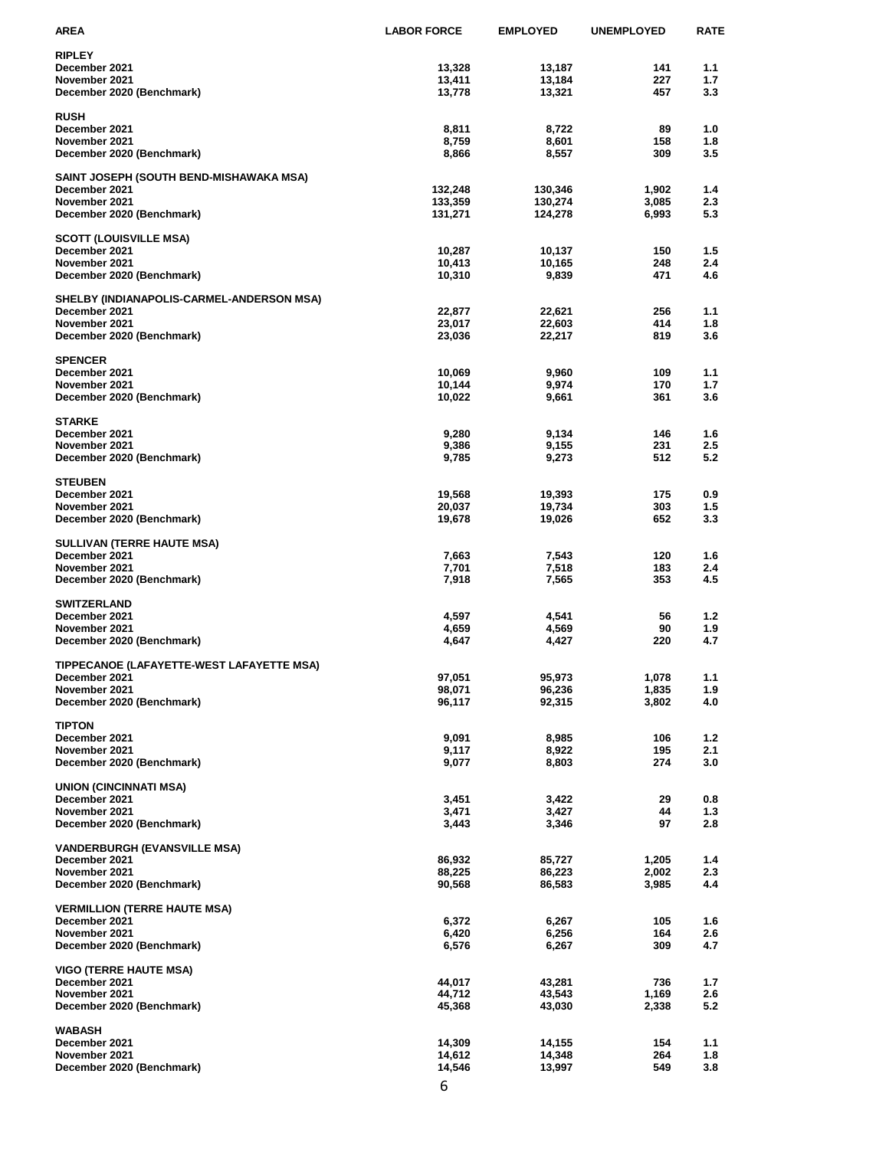| AREA                                      | <b>LABOR FORCE</b> | <b>EMPLOYED</b>  | <b>UNEMPLOYED</b> | <b>RATE</b> |
|-------------------------------------------|--------------------|------------------|-------------------|-------------|
| RIPLEY                                    |                    |                  |                   |             |
| December 2021                             | 13,328             | 13,187           | 141               | 1.1         |
| November 2021                             | 13,411             | 13,184           | 227               | 1.7         |
| December 2020 (Benchmark)                 | 13,778             | 13,321           | 457               | 3.3         |
|                                           |                    |                  |                   |             |
| <b>RUSH</b><br>December 2021              |                    |                  | 89                | 1.0         |
| November 2021                             | 8,811<br>8,759     | 8,722<br>8,601   | 158               | 1.8         |
| December 2020 (Benchmark)                 | 8,866              | 8,557            | 309               | 3.5         |
|                                           |                    |                  |                   |             |
| SAINT JOSEPH (SOUTH BEND-MISHAWAKA MSA)   |                    |                  |                   |             |
| December 2021                             | 132,248            | 130,346          | 1,902             | 1.4         |
| November 2021                             | 133,359            | 130,274          | 3,085             | 2.3         |
| December 2020 (Benchmark)                 | 131,271            | 124,278          | 6,993             | 5.3         |
|                                           |                    |                  |                   |             |
| SCOTT (LOUISVILLE MSA)                    |                    |                  |                   |             |
| December 2021                             | 10,287             | 10,137           | 150               | 1.5         |
| November 2021                             | 10,413             | 10,165           | 248               | 2.4         |
| December 2020 (Benchmark)                 | 10,310             | 9,839            | 471               | 4.6         |
| SHELBY (INDIANAPOLIS-CARMEL-ANDERSON MSA) |                    |                  |                   |             |
| December 2021                             | 22,877             | 22,621           | 256               | 1.1         |
| November 2021                             | 23,017             | 22,603           | 414               | 1.8         |
| December 2020 (Benchmark)                 | 23,036             | 22,217           | 819               | 3.6         |
|                                           |                    |                  |                   |             |
| <b>SPENCER</b>                            |                    |                  |                   |             |
| December 2021                             | 10,069             | 9,960            | 109               | 1.1         |
| November 2021                             | 10,144             | 9,974            | 170               | 1.7         |
| December 2020 (Benchmark)                 | 10,022             | 9,661            | 361               | 3.6         |
|                                           |                    |                  |                   |             |
| <b>STARKE</b><br>December 2021            |                    | 9,134            | 146               |             |
| November 2021                             | 9,280<br>9,386     | 9,155            | 231               | 1.6<br>2.5  |
| December 2020 (Benchmark)                 | 9,785              | 9,273            | 512               | 5.2         |
|                                           |                    |                  |                   |             |
| <b>STEUBEN</b>                            |                    |                  |                   |             |
| December 2021                             | 19,568             | 19,393           | 175               | 0.9         |
| November 2021                             | 20,037             | 19,734           | 303               | 1.5         |
| December 2020 (Benchmark)                 | 19,678             | 19,026           | 652               | 3.3         |
|                                           |                    |                  |                   |             |
| SULLIVAN (TERRE HAUTE MSA)                |                    |                  |                   |             |
| December 2021<br>November 2021            | 7,663<br>7,701     | 7,543<br>7,518   | 120<br>183        | 1.6<br>2.4  |
| December 2020 (Benchmark)                 | 7,918              | 7,565            | 353               | 4.5         |
|                                           |                    |                  |                   |             |
| <b>SWITZERLAND</b>                        |                    |                  |                   |             |
| December 2021                             | 4,597              | 4,541            | 56                | 1.2         |
| November 2021                             | 4,659              | 4,569            | 90                | 1.9         |
| December 2020 (Benchmark)                 | 4,647              | 4,427            | 220               | 4.7         |
|                                           |                    |                  |                   |             |
| TIPPECANOE (LAFAYETTE-WEST LAFAYETTE MSA) |                    |                  |                   |             |
| December 2021                             | 97,051             | 95,973           | 1,078             | 1.1         |
| November 2021                             | 98,071             | 96,236<br>92,315 | 1,835             | 1.9         |
| December 2020 (Benchmark)                 | 96,117             |                  | 3,802             | 4.0         |
| TIPTON                                    |                    |                  |                   |             |
| December 2021                             | 9,091              | 8,985            | 106               | 1.2         |
| November 2021                             | 9,117              | 8,922            | 195               | 2.1         |
| December 2020 (Benchmark)                 | 9,077              | 8,803            | 274               | 3.0         |
|                                           |                    |                  |                   |             |
| <b>UNION (CINCINNATI MSA)</b>             |                    |                  |                   |             |
| December 2021                             | 3,451              | 3,422            | 29                | 0.8         |
| November 2021                             | 3,471              | 3,427            | 44                | 1.3         |
| December 2020 (Benchmark)                 | 3,443              | 3,346            | 97                | 2.8         |
| <b>VANDERBURGH (EVANSVILLE MSA)</b>       |                    |                  |                   |             |
| December 2021                             | 86,932             | 85,727           | 1,205             | 1.4         |
| November 2021                             | 88,225             | 86,223           | 2,002             | 2.3         |
| December 2020 (Benchmark)                 | 90,568             | 86,583           | 3,985             | 4.4         |
|                                           |                    |                  |                   |             |
| <b>VERMILLION (TERRE HAUTE MSA)</b>       |                    |                  |                   |             |
| December 2021                             | 6,372              | 6,267            | 105               | 1.6         |
| November 2021                             | 6,420              | 6,256            | 164               | 2.6         |
| December 2020 (Benchmark)                 | 6,576              | 6,267            | 309               | 4.7         |
| <b>VIGO (TERRE HAUTE MSA)</b>             |                    |                  |                   |             |
| December 2021                             | 44,017             | 43,281           | 736               | 1.7         |
| November 2021                             | 44,712             | 43,543           | 1,169             | 2.6         |
| December 2020 (Benchmark)                 | 45,368             | 43,030           | 2,338             | 5.2         |
|                                           |                    |                  |                   |             |
| WABASH                                    |                    |                  |                   |             |
| December 2021                             | 14,309             | 14,155           | 154               | 1.1         |
| November 2021                             | 14,612             | 14,348           | 264               | 1.8         |
| December 2020 (Benchmark)                 | 14,546             | 13,997           | 549               | 3.8         |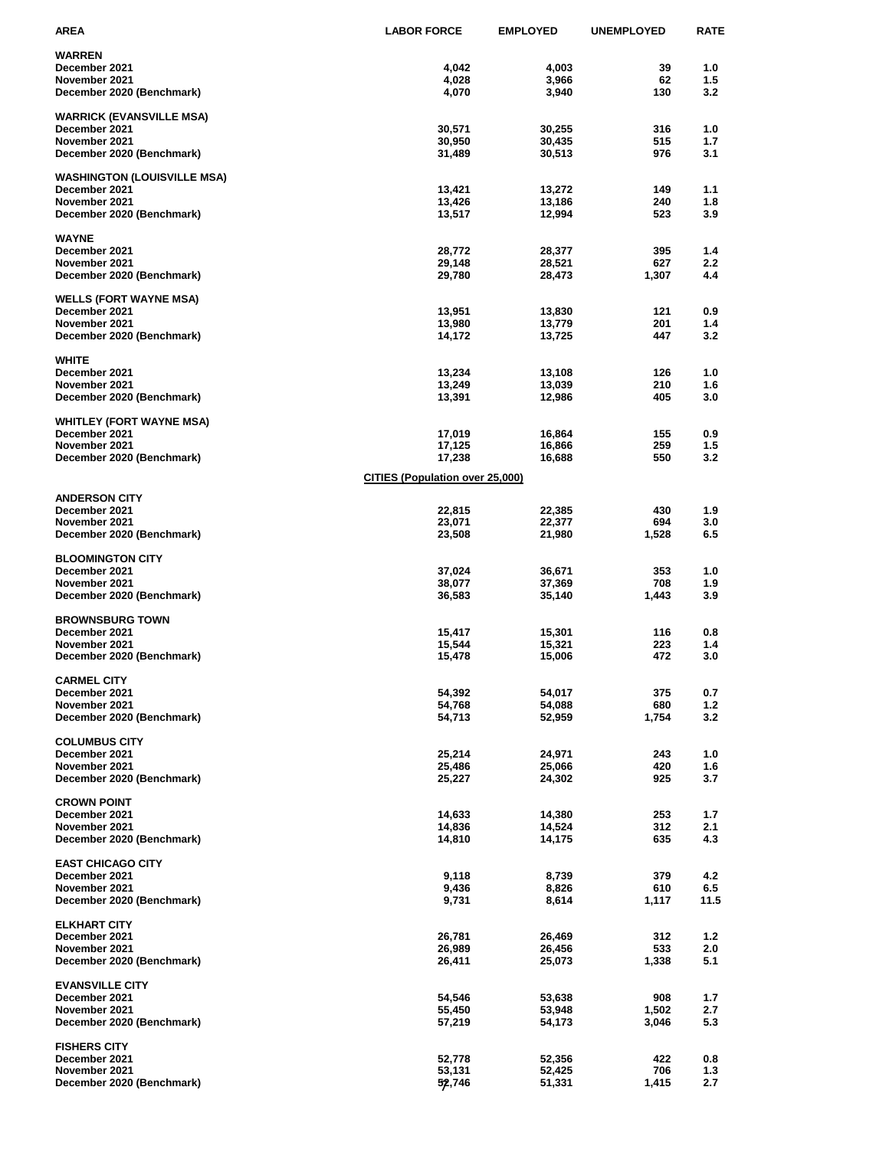| <b>AREA</b>                                | <b>LABOR FORCE</b>                     | <b>EMPLOYED</b>  | <b>UNEMPLOYED</b> | <b>RATE</b>      |
|--------------------------------------------|----------------------------------------|------------------|-------------------|------------------|
| <b>WARREN</b>                              |                                        |                  |                   |                  |
| December 2021                              | 4,042                                  | 4,003            | 39                | 1.0              |
| November 2021                              | 4,028                                  | 3,966            | 62                | 1.5              |
| December 2020 (Benchmark)                  | 4,070                                  | 3,940            | 130               | 3.2              |
|                                            |                                        |                  |                   |                  |
| <b>WARRICK (EVANSVILLE MSA)</b>            |                                        |                  |                   | 1.0              |
| December 2021<br>November 2021             | 30,571<br>30,950                       | 30,255<br>30,435 | 316<br>515        | 1.7              |
| December 2020 (Benchmark)                  | 31,489                                 | 30,513           | 976               | 3.1              |
|                                            |                                        |                  |                   |                  |
| <b>WASHINGTON (LOUISVILLE MSA)</b>         |                                        |                  |                   |                  |
| December 2021                              | 13,421                                 | 13,272           | 149               | 1.1              |
| November 2021                              | 13,426                                 | 13,186           | 240               | 1.8              |
| December 2020 (Benchmark)                  | 13,517                                 | 12,994           | 523               | 3.9              |
| <b>WAYNE</b>                               |                                        |                  |                   |                  |
| December 2021                              | 28,772                                 | 28,377           | 395               | 1.4              |
| November 2021                              | 29,148                                 | 28,521           | 627               | $2.2\phantom{0}$ |
| December 2020 (Benchmark)                  | 29,780                                 | 28,473           | 1,307             | 4.4              |
|                                            |                                        |                  |                   |                  |
| <b>WELLS (FORT WAYNE MSA)</b>              |                                        |                  |                   |                  |
| December 2021                              | 13,951                                 | 13,830           | 121               | 0.9              |
| November 2021                              | 13,980                                 | 13,779           | 201               | 1.4              |
| December 2020 (Benchmark)                  | 14,172                                 | 13,725           | 447               | 3.2              |
| <b>WHITE</b>                               |                                        |                  |                   |                  |
| December 2021                              | 13,234                                 | 13,108           | 126               | 1.0              |
| November 2021                              | 13,249                                 | 13,039           | 210               | 1.6              |
| December 2020 (Benchmark)                  | 13,391                                 | 12,986           | 405               | 3.0              |
|                                            |                                        |                  |                   |                  |
| <b>WHITLEY (FORT WAYNE MSA)</b>            |                                        |                  |                   |                  |
| December 2021<br>November 2021             | 17,019<br>17,125                       | 16,864<br>16,866 | 155<br>259        | 0.9<br>1.5       |
| December 2020 (Benchmark)                  | 17,238                                 | 16,688           | 550               | 3.2              |
|                                            |                                        |                  |                   |                  |
|                                            | <b>CITIES (Population over 25,000)</b> |                  |                   |                  |
| <b>ANDERSON CITY</b>                       |                                        |                  |                   |                  |
| December 2021                              | 22,815                                 | 22,385           | 430               | 1.9              |
| November 2021                              | 23,071                                 | 22,377           | 694               | 3.0              |
| December 2020 (Benchmark)                  | 23,508                                 | 21,980           | 1,528             | 6.5              |
|                                            |                                        |                  |                   |                  |
| <b>BLOOMINGTON CITY</b>                    |                                        |                  |                   |                  |
| December 2021                              | 37,024                                 | 36,671           | 353<br>708        | 1.0<br>1.9       |
| November 2021<br>December 2020 (Benchmark) | 38,077<br>36,583                       | 37,369<br>35,140 | 1,443             | 3.9              |
|                                            |                                        |                  |                   |                  |
| <b>BROWNSBURG TOWN</b>                     |                                        |                  |                   |                  |
| December 2021                              | 15,417                                 | 15,301           | 116               | 0.8              |
| November 2021                              | 15,544                                 | 15,321           | 223               | 1.4              |
| December 2020 (Benchmark)                  | 15,478                                 | 15,006           | 472               | 3.0              |
| <b>CARMEL CITY</b>                         |                                        |                  |                   |                  |
| December 2021                              | 54,392                                 | 54,017           | 375               | 0.7              |
| November 2021                              | 54,768                                 | 54,088           | 680               | 1.2              |
| December 2020 (Benchmark)                  | 54,713                                 | 52,959           | 1,754             | 3.2              |
|                                            |                                        |                  |                   |                  |
| <b>COLUMBUS CITY</b>                       |                                        |                  |                   |                  |
| December 2021                              | 25,214                                 | 24,971           | 243               | 1.0              |
| November 2021                              | 25,486                                 | 25,066           | 420               | 1.6              |
| December 2020 (Benchmark)                  | 25,227                                 | 24,302           | 925               | 3.7              |
| <b>CROWN POINT</b>                         |                                        |                  |                   |                  |
| December 2021                              | 14,633                                 | 14,380           | 253               | 1.7              |
| November 2021                              | 14,836                                 | 14,524           | 312               | 2.1              |
| December 2020 (Benchmark)                  | 14,810                                 | 14,175           | 635               | 4.3              |
|                                            |                                        |                  |                   |                  |
| <b>EAST CHICAGO CITY</b>                   |                                        |                  |                   |                  |
| December 2021                              | 9,118                                  | 8,739            | 379               | 4.2              |
| November 2021<br>December 2020 (Benchmark) | 9,436<br>9,731                         | 8,826<br>8,614   | 610<br>1,117      | 6.5<br>11.5      |
|                                            |                                        |                  |                   |                  |
| <b>ELKHART CITY</b>                        |                                        |                  |                   |                  |
| December 2021                              | 26,781                                 | 26,469           | 312               | 1.2              |
| November 2021                              | 26,989                                 | 26,456           | 533               | 2.0              |
| December 2020 (Benchmark)                  | 26,411                                 | 25,073           | 1,338             | 5.1              |
|                                            |                                        |                  |                   |                  |
| <b>EVANSVILLE CITY</b>                     |                                        |                  |                   |                  |
| December 2021<br>November 2021             | 54,546<br>55,450                       | 53,638<br>53,948 | 908<br>1,502      | 1.7<br>2.7       |
| December 2020 (Benchmark)                  | 57,219                                 | 54,173           | 3,046             | 5.3              |
|                                            |                                        |                  |                   |                  |
| <b>FISHERS CITY</b>                        |                                        |                  |                   |                  |
| December 2021                              | 52,778                                 | 52,356           | 422               | 0.8              |
| November 2021                              | 53,131                                 | 52,425           | 706               | 1.3              |
| December 2020 (Benchmark)                  | 52,746                                 | 51,331           | 1,415             | 2.7              |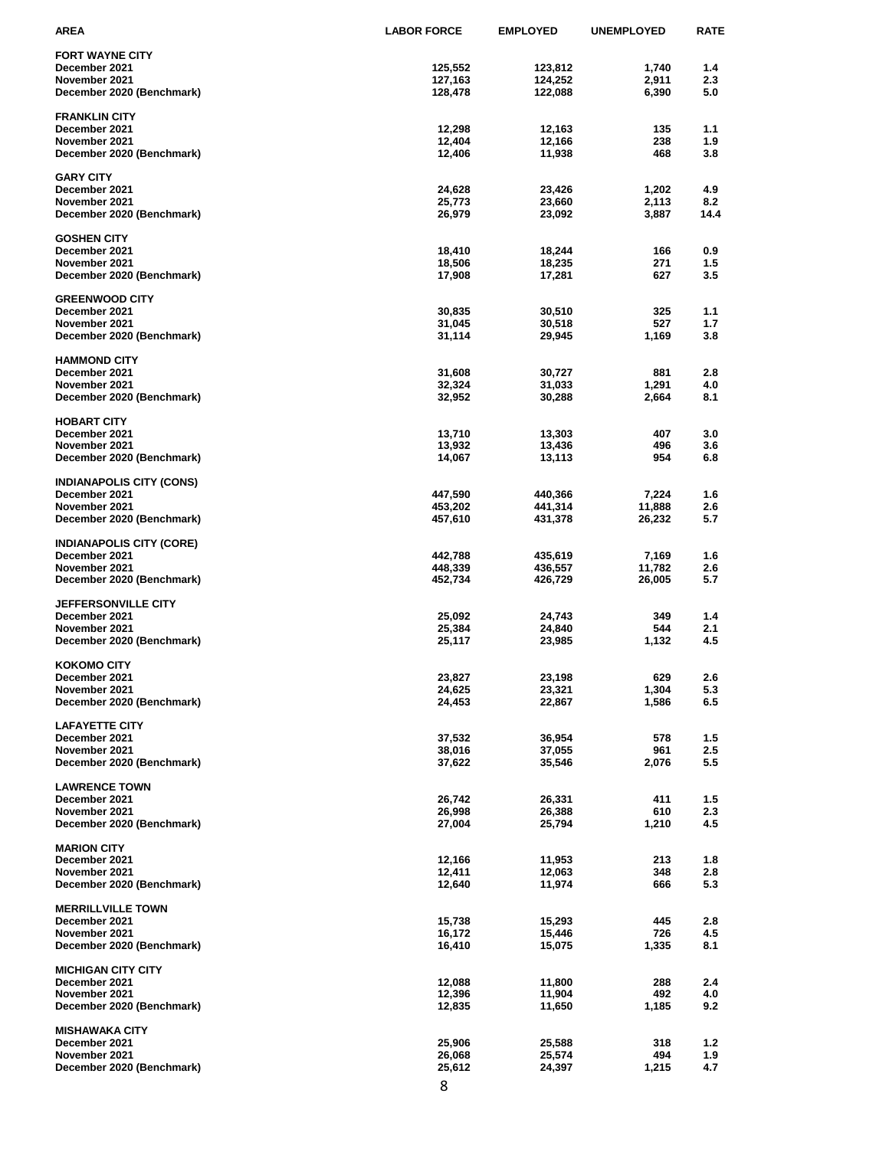| AREA                                        | <b>LABOR FORCE</b> | <b>EMPLOYED</b>  | <b>UNEMPLOYED</b> | <b>RATE</b> |
|---------------------------------------------|--------------------|------------------|-------------------|-------------|
| <b>FORT WAYNE CITY</b>                      |                    |                  |                   |             |
| December 2021                               | 125,552            | 123,812          | 1,740             | 1.4         |
| November 2021                               | 127,163            | 124,252          | 2,911             | 2.3         |
| December 2020 (Benchmark)                   | 128,478            | 122,088          | 6,390             | 5.0         |
|                                             |                    |                  |                   |             |
| <b>FRANKLIN CITY</b>                        |                    |                  |                   |             |
| December 2021                               | 12,298             | 12,163           | 135               | 1.1         |
| November 2021                               | 12,404             | 12,166           | 238               | 1.9         |
| December 2020 (Benchmark)                   | 12,406             | 11,938           | 468               | 3.8         |
| <b>GARY CITY</b>                            |                    |                  |                   |             |
| December 2021                               | 24,628             | 23,426           | 1,202             | 4.9         |
| November 2021                               | 25,773             | 23,660           | 2,113             | 8.2         |
| December 2020 (Benchmark)                   | 26,979             | 23,092           | 3,887             | 14.4        |
|                                             |                    |                  |                   |             |
| <b>GOSHEN CITY</b>                          |                    |                  |                   |             |
| December 2021                               | 18,410             | 18,244           | 166               | 0.9         |
| November 2021                               | 18,506             | 18,235           | 271               | 1.5         |
| December 2020 (Benchmark)                   | 17,908             | 17,281           | 627               | 3.5         |
| <b>GREENWOOD CITY</b>                       |                    |                  |                   |             |
| December 2021                               | 30,835             | 30,510           | 325               | 1.1         |
| November 2021                               | 31,045             | 30,518           | 527               | 1.7         |
| December 2020 (Benchmark)                   | 31,114             | 29,945           | 1,169             | 3.8         |
|                                             |                    |                  |                   |             |
| <b>HAMMOND CITY</b>                         |                    |                  |                   |             |
| December 2021                               | 31,608             | 30,727<br>31,033 | 881               | 2.8         |
| November 2021                               | 32,324             |                  | 1,291             | 4.0         |
| December 2020 (Benchmark)                   | 32,952             | 30,288           | 2,664             | 8.1         |
| <b>HOBART CITY</b>                          |                    |                  |                   |             |
| December 2021                               | 13,710             | 13,303           | 407               | 3.0         |
| November 2021                               | 13,932             | 13,436           | 496               | 3.6         |
| December 2020 (Benchmark)                   | 14,067             | 13,113           | 954               | 6.8         |
|                                             |                    |                  |                   |             |
| <b>INDIANAPOLIS CITY (CONS)</b>             |                    |                  |                   |             |
| December 2021                               | 447,590            | 440,366          | 7,224             | 1.6         |
| November 2021                               | 453,202            | 441,314          | 11,888            | 2.6         |
| December 2020 (Benchmark)                   | 457,610            | 431,378          | 26,232            | 5.7         |
| <b>INDIANAPOLIS CITY (CORE)</b>             |                    |                  |                   |             |
| December 2021                               | 442,788            | 435,619          | 7,169             | 1.6         |
| November 2021                               | 448,339            | 436,557          | 11,782            | 2.6         |
| December 2020 (Benchmark)                   | 452,734            | 426,729          | 26,005            | 5.7         |
|                                             |                    |                  |                   |             |
| <b>JEFFERSONVILLE CITY</b><br>December 2021 | 25,092             | 24,743           | 349               | 1.4         |
| November 2021                               | 25,384             | 24,840           | 544               | 2.1         |
| December 2020 (Benchmark)                   | 25,117             | 23,985           | 1,132             | 4.5         |
|                                             |                    |                  |                   |             |
| <b>KOKOMO CITY</b>                          |                    |                  |                   |             |
| December 2021                               | 23,827             | 23,198           | 629               | 2.6         |
| November 2021                               | 24,625             | 23,321           | 1,304             | 5.3         |
| December 2020 (Benchmark)                   | 24,453             | 22,867           | 1,586             | 6.5         |
| <b>LAFAYETTE CITY</b>                       |                    |                  |                   |             |
| December 2021                               | 37,532             | 36,954           | 578               | 1.5         |
| November 2021                               | 38,016             | 37,055           | 961               | 2.5         |
| December 2020 (Benchmark)                   | 37,622             | 35,546           | 2,076             | 5.5         |
|                                             |                    |                  |                   |             |
| <b>LAWRENCE TOWN</b>                        |                    |                  |                   |             |
| December 2021                               | 26,742             | 26,331           | 411               | 1.5         |
| November 2021<br>December 2020 (Benchmark)  | 26,998<br>27,004   | 26,388<br>25,794 | 610<br>1,210      | 2.3<br>4.5  |
|                                             |                    |                  |                   |             |
| <b>MARION CITY</b>                          |                    |                  |                   |             |
| December 2021                               | 12,166             | 11,953           | 213               | 1.8         |
| November 2021                               | 12,411             | 12,063           | 348               | 2.8         |
| December 2020 (Benchmark)                   | 12,640             | 11,974           | 666               | 5.3         |
|                                             |                    |                  |                   |             |
| <b>MERRILLVILLE TOWN</b>                    |                    |                  |                   |             |
| December 2021<br>November 2021              | 15,738<br>16,172   | 15,293<br>15,446 | 445<br>726        | 2.8         |
| December 2020 (Benchmark)                   | 16,410             | 15,075           | 1,335             | 4.5<br>8.1  |
|                                             |                    |                  |                   |             |
| <b>MICHIGAN CITY CITY</b>                   |                    |                  |                   |             |
| December 2021                               | 12,088             | 11,800           | 288               | 2.4         |
| November 2021                               | 12,396             | 11,904           | 492               | 4.0         |
| December 2020 (Benchmark)                   | 12,835             | 11,650           | 1,185             | 9.2         |
| <b>MISHAWAKA CITY</b>                       |                    |                  |                   |             |
| December 2021                               | 25,906             | 25,588           | 318               | 1.2         |
| November 2021                               | 26,068             | 25,574           | 494               | 1.9         |
| December 2020 (Benchmark)                   | 25,612             | 24,397           | 1,215             | 4.7         |
|                                             |                    |                  |                   |             |